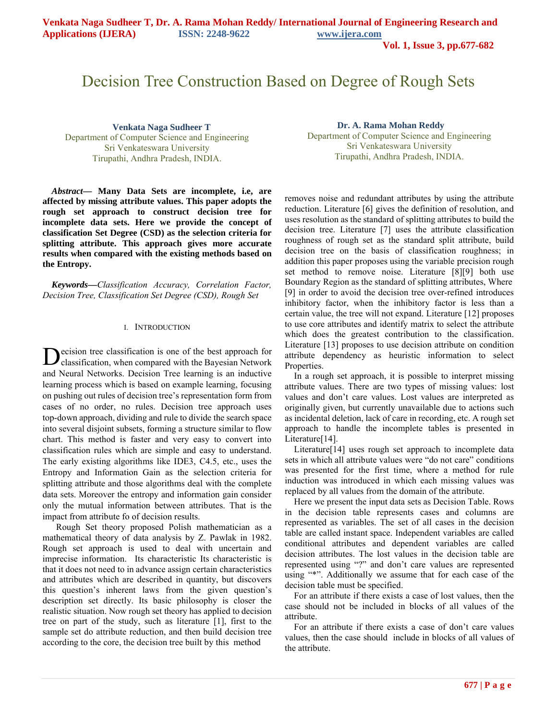**Vol. 1, Issue 3, pp.677-682**

# Decision Tree Construction Based on Degree of Rough Sets

**Venkata Naga Sudheer T** Department of Computer Science and Engineering Sri Venkateswara University Tirupathi, Andhra Pradesh, INDIA.

*Abstract***— Many Data Sets are incomplete, i.e, are affected by missing attribute values. This paper adopts the rough set approach to construct decision tree for incomplete data sets. Here we provide the concept of classification Set Degree (CSD) as the selection criteria for splitting attribute. This approach gives more accurate results when compared with the existing methods based on the Entropy.**

*Keywords***—***Classification Accuracy, Correlation Factor, Decision Tree, Classification Set Degree (CSD), Rough Set*

#### I. INTRODUCTION

ecision tree classification is one of the best approach for **D**ecision tree classification is one of the best approach for classification, when compared with the Bayesian Network and Neural Networks. Decision Tree learning is an inductive learning process which is based on example learning, focusing on pushing out rules of decision tree's representation form from cases of no order, no rules. Decision tree approach uses top-down approach, dividing and rule to divide the search space into several disjoint subsets, forming a structure similar to flow chart. This method is faster and very easy to convert into classification rules which are simple and easy to understand. The early existing algorithms like IDE3, C4.5, etc., uses the Entropy and Information Gain as the selection criteria for splitting attribute and those algorithms deal with the complete data sets. Moreover the entropy and information gain consider only the mutual information between attributes. That is the impact from attribute fo of decision results.

 Rough Set theory proposed Polish mathematician as a mathematical theory of data analysis by Z. Pawlak in 1982. Rough set approach is used to deal with uncertain and imprecise information. Its characteristic Its characteristic is that it does not need to in advance assign certain characteristics and attributes which are described in quantity, but discovers this question's inherent laws from the given question's description set directly. Its basic philosophy is closer the realistic situation. Now rough set theory has applied to decision tree on part of the study, such as literature [1], first to the sample set do attribute reduction, and then build decision tree according to the core, the decision tree built by this method

## **Dr. A. Rama Mohan Reddy**

Department of Computer Science and Engineering Sri Venkateswara University Tirupathi, Andhra Pradesh, INDIA.

removes noise and redundant attributes by using the attribute reduction. Literature [6] gives the definition of resolution, and uses resolution as the standard of splitting attributes to build the decision tree. Literature [7] uses the attribute classification roughness of rough set as the standard split attribute, build decision tree on the basis of classification roughness; in addition this paper proposes using the variable precision rough set method to remove noise. Literature [8][9] both use Boundary Region as the standard of splitting attributes, Where [9] in order to avoid the decision tree over-refined introduces inhibitory factor, when the inhibitory factor is less than a certain value, the tree will not expand. Literature [12] proposes to use core attributes and identify matrix to select the attribute which does the greatest contribution to the classification. Literature [13] proposes to use decision attribute on condition attribute dependency as heuristic information to select Properties.

In a rough set approach, it is possible to interpret missing attribute values. There are two types of missing values: lost values and don't care values. Lost values are interpreted as originally given, but currently unavailable due to actions such as incidental deletion, lack of care in recording, etc. A rough set approach to handle the incomplete tables is presented in Literature<sup>[14]</sup>.

Literature[14] uses rough set approach to incomplete data sets in which all attribute values were "do not care" conditions was presented for the first time, where a method for rule induction was introduced in which each missing values was replaced by all values from the domain of the attribute.

Here we present the input data sets as Decision Table. Rows in the decision table represents cases and columns are represented as variables. The set of all cases in the decision table are called instant space. Independent variables are called conditional attributes and dependent variables are called decision attributes. The lost values in the decision table are represented using "?" and don't care values are represented using "\*". Additionally we assume that for each case of the decision table must be specified.

For an attribute if there exists a case of lost values, then the case should not be included in blocks of all values of the attribute.

For an attribute if there exists a case of don't care values values, then the case should include in blocks of all values of the attribute.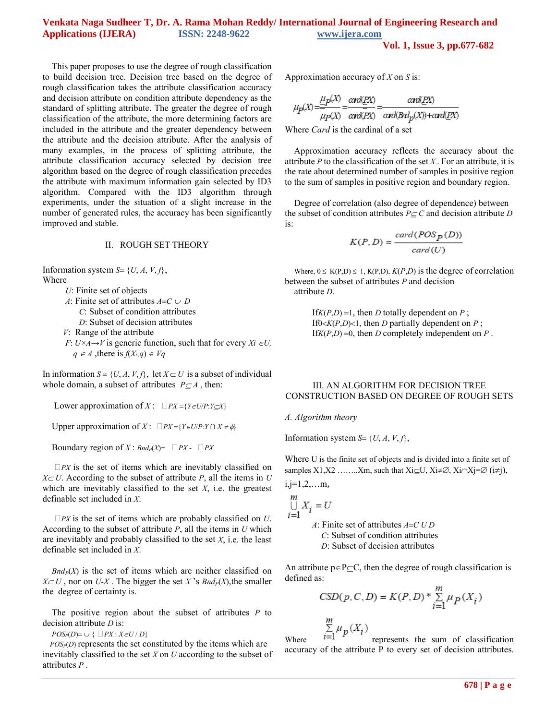# **Venkata Naga Sudheer T, Dr. A. Rama Mohan Reddy/ International Journal of Engineering Research and Applications (IJERA) ISSN: 2248-9622 www.ijera.com**

**Vol. 1, Issue 3, pp.677-682**

This paper proposes to use the degree of rough classification to build decision tree. Decision tree based on the degree of rough classification takes the attribute classification accuracy and decision attribute on condition attribute dependency as the standard of splitting attribute. The greater the degree of rough classification of the attribute, the more determining factors are included in the attribute and the greater dependency between the attribute and the decision attribute. After the analysis of many examples, in the process of splitting attribute, the attribute classification accuracy selected by decision tree algorithm based on the degree of rough classification precedes the attribute with maximum information gain selected by ID3 algorithm. Compared with the ID3 algorithm through experiments, under the situation of a slight increase in the number of generated rules, the accuracy has been significantly improved and stable.

## II. ROUGH SET THEORY

Information system *S*=  $\{U, A, V, f\}$ , Where

*U*: Finite set of objects

*A*: Finite set of attributes  $A = C \cup D$ 

*C*: Subset of condition attributes

*D*: Subset of decision attributes

*V*: Range of the attribute

*F*:  $U \times A \rightarrow V$  is generic function, such that for every  $Xi \in U$ ,  $q \in A$ , there is  $f(X_i, q) \in Vq$ 

In information  $S = \{U, A, V, f\}$ , let  $X \subset U$  is a subset of individual whole domain, a subset of attributes  $P \subseteq A$ , then:

Lower approximation of *X* :  $\Box PX = \{Y \in U/P: Y \subseteq X\}$ 

Upper approximation of *X* :  $P X = \{ Y \in U / P : Y \cap X \neq \emptyset \}$ 

Boundary region of *X* : *Bnd<sub>P</sub>*(*X*)=  $\Box PX$  -  $\Box PX$ 

*PX* is the set of items which are inevitably classified on  $X \subset U$ . According to the subset of attribute *P*, all the items in *U* which are inevitably classified to the set *X*, i.e. the greatest definable set included in *X*.

 *PX* is the set of items which are probably classified on *U*. According to the subset of attribute *P*, all the items in *U* which are inevitably and probably classified to the set *X*, i.e. the least definable set included in *X*.

 $Bnd_P(X)$  is the set of items which are neither classified on  $X \subset U$ , nor on *U-X*. The bigger the set *X* 's *Bnd<sub>P</sub>*(*X*),the smaller the degree of certainty is.

 The positive region about the subset of attributes *P* to decision attribute *D* is:

 $POS_{P}(D)=\cup\{\Box PX:X\in U/D\}$ 

 *POSP*(*D*) represents the set constituted by the items which are inevitably classified to the set *X* on *U* according to the subset of attributes *P* .

Approximation accuracy of *X* on *S* is:

$$
\mu_P(X) = \frac{\mu_P(X)}{\mu_P(X)} = \frac{\alpha \text{rd}(PX)}{\alpha \text{rd}(PX)} = \frac{\alpha \text{rd}(PX)}{\alpha \text{rd}(B \text{rd}_P(X)) + \alpha \text{rd}(PX)}
$$

Where *Card* is the cardinal of a set

Approximation accuracy reflects the accuracy about the attribute *P* to the classification of the set *X* . For an attribute, it is the rate about determined number of samples in positive region to the sum of samples in positive region and boundary region.

Degree of correlation (also degree of dependence) between the subset of condition attributes  $P \subset C$  and decision attribute *D* is:

$$
K(P, D) = \frac{card(POS_{P}(D))}{card(U)}
$$

Where,  $0 \le K(P,D) \le 1$ ,  $K(P,D)$ ,  $K(P,D)$  is the degree of correlation between the subset of attributes *P* and decision attribute *D*.

> If $K(P,D) = 1$ , then *D* totally dependent on *P*; If0 $\lt K(P,D) \lt 1$ , then *D* partially dependent on *P*; If $K(P,D) = 0$ , then *D* completely independent on *P*.

# III. AN ALGORITHM FOR DECISION TREE CONSTRUCTION BASED ON DEGREE OF ROUGH SETS

*A. Algorithm theory*

Information system *S*=  $\{U, A, V, f\}$ ,

Where U is the finite set of objects and is divided into a finite set of samples X1,X2 ……..Xm, such that Xi $\subseteq$ U, Xi $\neq \emptyset$ , Xi $\cap$ Xj= $\emptyset$  (i $\neq$ j),  $i,j=1,2,...m,$ 

$$
\bigcup_{i=1}^{m} X_i = U
$$

 *A*: Finite set of attributes *AC U D C*: Subset of condition attributes *D*: Subset of decision attributes

An attribute  $p \in P \subseteq C$ , then the degree of rough classification is defined as:

$$
CSD(p, C, D) = K(P, D) * \sum_{i=1}^{m} \mu_P(X_i)
$$

Where  $\sum_{i=1}^{m} \mu_p(X_i)$  represents the sum of classification accuracy of the attribute P to every set of decision attributes.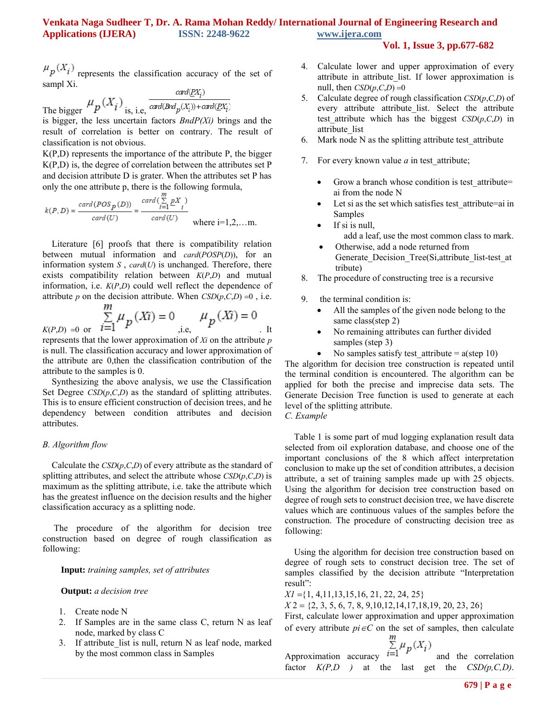# **Venkata Naga Sudheer T, Dr. A. Rama Mohan Reddy/ International Journal of Engineering Research and Applications (IJERA) ISSN: 2248-9622 www.ijera.com**

**Vol. 1, Issue 3, pp.677-682**

 $\mu_p(X_i)$  represents the classification accuracy of the set of sampl Xi.

 $\mathop{\rm The \ bigger}\limits^{\ell} \mu_p(X_i)_{\hbox{ is, i.e, }\frac{\mathop{\rm card}(PX_i)}{\mathop{\rm card}(\mathop{\rm End}\nolimits_p(X_i))+\mathop{\rm card}(PX_i)}}$ 

is bigger, the less uncertain factors *BndP(Xi)* brings and the result of correlation is better on contrary. The result of classification is not obvious.

K(P,D) represents the importance of the attribute P, the bigger K(P,D) is, the degree of correlation between the attributes set P and decision attribute D is grater. When the attributes set P has only the one attribute p, there is the following formula,

$$
k(P, D) = \frac{card(POS_{P}(D))}{card(U)} = \frac{card(\sum_{i=1}^{m} pX_{i})}{card(U)}
$$
 where i=1,2,...m.

Literature [6] proofs that there is compatibility relation between mutual information and *card*(*POSP*(*D*)), for an information system *S* , *card*(*U*) is unchanged. Therefore, there exists compatibility relation between *K*(*P*,*D*) and mutual information, i.e. *K*(*P*,*D*) could well reflect the dependence of attribute *p* on the decision attribute. When  $CSD(p, C, D) = 0$ , i.e.

$$
\sum_{i=1}^{m} \mu_p(Xi) = 0 \mu_p(Xi) = 0
$$

 $K(P,D) = 0$  or represents that the lower approximation of *Xi* on the attribute *p*  is null. The classification accuracy and lower approximation of the attribute are 0,then the classification contribution of the attribute to the samples is 0.

Synthesizing the above analysis, we use the Classification Set Degree  $CSD(p, C, D)$  as the standard of splitting attributes. This is to ensure efficient construction of decision trees, and he dependency between condition attributes and decision attributes.

# *B. Algorithm flow*

Calculate the  $CSD(p, C, D)$  of every attribute as the standard of splitting attributes, and select the attribute whose  $CSD(p, C, D)$  is maximum as the splitting attribute, i.e. take the attribute which has the greatest influence on the decision results and the higher classification accuracy as a splitting node.

 The procedure of the algorithm for decision tree construction based on degree of rough classification as following:

#### **Input:** *training samples, set of attributes*

## **Output:** *a decision tree*

- 1. Create node N
- 2. If Samples are in the same class C, return N as leaf node, marked by class C
- 3. If attribute list is null, return N as leaf node, marked by the most common class in Samples
- 4. Calculate lower and upper approximation of every attribute in attribute list. If lower approximation is null, then  $CSD(p, C, D) = 0$
- 5. Calculate degree of rough classification *CSD*(*p*,*C*,*D*) of every attribute attribute list. Select the attribute test attribute which has the biggest  $CSD(p, C, D)$  in attribute\_list
- 6. Mark node N as the splitting attribute test\_attribute
- 7. For every known value *a* in test\_attribute;
	- Grow a branch whose condition is test attribute= ai from the node N
	- Let si as the set which satisfies test attribute=ai in Samples
	- If si is null, add a leaf, use the most common class to mark.
	- Otherwise, add a node returned from Generate Decision Tree(Si,attribute list-test at tribute)
- 8. The procedure of constructing tree is a recursive
- 9. the terminal condition is:
	- All the samples of the given node belong to the same class(step 2)
	- No remaining attributes can further divided samples (step 3)
	- No samples satisfy test\_attribute =  $a$ (step 10)

The algorithm for decision tree construction is repeated until the terminal condition is encountered. The algorithm can be applied for both the precise and imprecise data sets. The Generate Decision Tree function is used to generate at each level of the splitting attribute.

*C. Example*

Table 1 is some part of mud logging explanation result data selected from oil exploration database, and choose one of the important conclusions of the 8 which affect interpretation conclusion to make up the set of condition attributes, a decision attribute, a set of training samples made up with 25 objects. Using the algorithm for decision tree construction based on degree of rough sets to construct decision tree, we have discrete values which are continuous values of the samples before the construction. The procedure of constructing decision tree as following:

Using the algorithm for decision tree construction based on degree of rough sets to construct decision tree. The set of samples classified by the decision attribute "Interpretation result":

 $XI = \{1, 4, 11, 13, 15, 16, 21, 22, 24, 25\}$ 

 $X2 = \{2, 3, 5, 6, 7, 8, 9, 10, 12, 14, 17, 18, 19, 20, 23, 26\}$ 

First, calculate lower approximation and upper approximation of every attribute  $pi \in C$  on the set of samples, then calculate

$$
\sum_{i=1}^m \mu_p(X_i)
$$

Approximation accuracy  $I=1$  and the correlation factor  $K(P,D)$  at the last get the  $CSD(p, C, D)$ .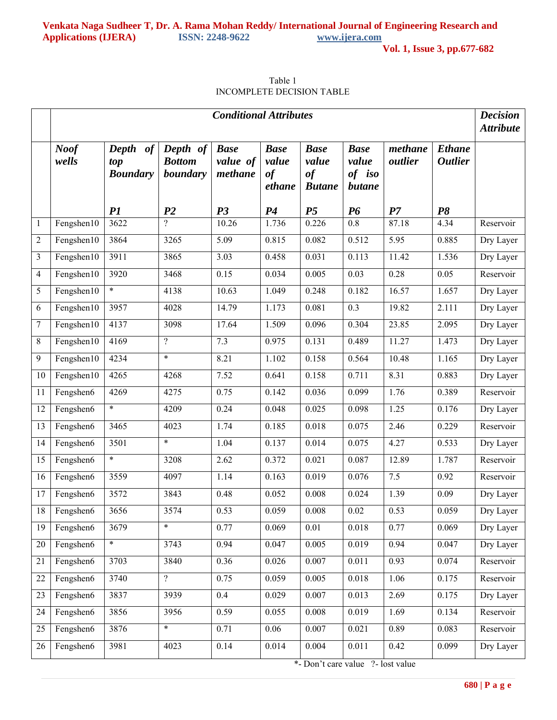**Vol. 1, Issue 3, pp.677-682**

# Table 1 INCOMPLETE DECISION TABLE

|                | <b>Conditional Attributes</b> |                                    |                                       |                                    |                                                         |                                             |                                                 |                    |                                 | <b>Decision</b><br><b>Attribute</b> |
|----------------|-------------------------------|------------------------------------|---------------------------------------|------------------------------------|---------------------------------------------------------|---------------------------------------------|-------------------------------------------------|--------------------|---------------------------------|-------------------------------------|
|                | <b>Noof</b><br>wells          | Depth of<br>top<br><b>Boundary</b> | Depth of<br><b>Bottom</b><br>boundary | <b>Base</b><br>value of<br>methane | <b>Base</b><br>value<br>$\boldsymbol{\theta}$<br>ethane | <b>Base</b><br>value<br>of<br><b>Butane</b> | <b>Base</b><br>value<br>of iso<br><b>butane</b> | methane<br>outlier | <b>Ethane</b><br><b>Outlier</b> |                                     |
|                |                               | PI                                 | P <sub>2</sub>                        | P <sub>3</sub>                     | P <sub>4</sub>                                          | P <sub>5</sub>                              | P6                                              | P7                 | P8                              |                                     |
| 1              | Fengshen10                    | 3622                               | $\gamma$                              | 10.26                              | 1.736                                                   | 0.226                                       | 0.8                                             | 87.18              | 4.34                            | Reservoir                           |
| $\overline{c}$ | Fengshen10                    | 3864                               | 3265                                  | 5.09                               | 0.815                                                   | 0.082                                       | 0.512                                           | 5.95               | 0.885                           | Dry Layer                           |
| 3              | Fengshen10                    | 3911                               | 3865                                  | 3.03                               | 0.458                                                   | 0.031                                       | 0.113                                           | 11.42              | 1.536                           | Dry Layer                           |
| 4              | Fengshen10                    | 3920                               | 3468                                  | 0.15                               | 0.034                                                   | 0.005                                       | 0.03                                            | 0.28               | 0.05                            | Reservoir                           |
| 5              | Fengshen10                    | $\ast$                             | 4138                                  | 10.63                              | 1.049                                                   | 0.248                                       | 0.182                                           | 16.57              | 1.657                           | Dry Layer                           |
| 6              | Fengshen10                    | 3957                               | 4028                                  | 14.79                              | 1.173                                                   | 0.081                                       | $\overline{0.3}$                                | 19.82              | 2.111                           | Dry Layer                           |
| 7              | Fengshen10                    | 4137                               | 3098                                  | 17.64                              | 1.509                                                   | 0.096                                       | 0.304                                           | 23.85              | 2.095                           | Dry Layer                           |
| 8              | Fengshen10                    | 4169                               | $\overline{?}$                        | 7.3                                | 0.975                                                   | 0.131                                       | 0.489                                           | 11.27              | 1.473                           | Dry Layer                           |
| 9              | Fengshen10                    | 4234                               | $\ast$                                | 8.21                               | 1.102                                                   | 0.158                                       | 0.564                                           | 10.48              | 1.165                           | Dry Layer                           |
| 10             | Fengshen10                    | 4265                               | 4268                                  | 7.52                               | 0.641                                                   | 0.158                                       | 0.711                                           | 8.31               | 0.883                           | Dry Layer                           |
| 11             | Fengshen6                     | 4269                               | 4275                                  | 0.75                               | 0.142                                                   | 0.036                                       | 0.099                                           | 1.76               | 0.389                           | Reservoir                           |
| 12             | Fengshen6                     | $\ast$                             | 4209                                  | 0.24                               | 0.048                                                   | 0.025                                       | 0.098                                           | 1.25               | 0.176                           | Dry Layer                           |
| 13             | Fengshen6                     | 3465                               | 4023                                  | 1.74                               | 0.185                                                   | 0.018                                       | 0.075                                           | 2.46               | 0.229                           | Reservoir                           |
| 14             | Fengshen6                     | 3501                               | $\ast$                                | 1.04                               | 0.137                                                   | 0.014                                       | 0.075                                           | 4.27               | 0.533                           | Dry Layer                           |
| 15             | Fengshen6                     | $\ast$                             | 3208                                  | 2.62                               | 0.372                                                   | 0.021                                       | 0.087                                           | 12.89              | 1.787                           | Reservoir                           |
| 16             | Fengshen6                     | 3559                               | 4097                                  | 1.14                               | 0.163                                                   | 0.019                                       | 0.076                                           | 7.5                | 0.92                            | Reservoir                           |
| 17             | Fengshen6                     | 3572                               | 3843                                  | 0.48                               | 0.052                                                   | 0.008                                       | 0.024                                           | 1.39               | 0.09                            | Dry Layer                           |
| 18             | Fengshen6                     | 3656                               | 3574                                  | 0.53                               | 0.059                                                   | 0.008                                       | 0.02                                            | 0.53               | 0.059                           | Dry Layer                           |
| 19             | Fengshen6                     | 3679                               | $\ast$                                | 0.77                               | 0.069                                                   | $\overline{0.01}$                           | 0.018                                           | 0.77               | 0.069                           | Dry Layer                           |
| 20             | Fengshen6                     | $\ast$                             | 3743                                  | 0.94                               | 0.047                                                   | 0.005                                       | 0.019                                           | 0.94               | 0.047                           | Dry Layer                           |
| 21             | Fengshen6                     | 3703                               | 3840                                  | 0.36                               | 0.026                                                   | 0.007                                       | 0.011                                           | 0.93               | 0.074                           | Reservoir                           |
| 22             | Fengshen6                     | 3740                               | $\overline{?}$                        | 0.75                               | 0.059                                                   | 0.005                                       | 0.018                                           | 1.06               | 0.175                           | Reservoir                           |
| 23             | Fengshen6                     | 3837                               | 3939                                  | 0.4                                | 0.029                                                   | 0.007                                       | 0.013                                           | 2.69               | 0.175                           | Dry Layer                           |
| 24             | Fengshen6                     | 3856                               | 3956                                  | 0.59                               | 0.055                                                   | 0.008                                       | 0.019                                           | 1.69               | 0.134                           | Reservoir                           |
| 25             | Fengshen6                     | 3876                               | $\ast$                                | 0.71                               | 0.06                                                    | 0.007                                       | 0.021                                           | 0.89               | 0.083                           | Reservoir                           |
| 26             | Fengshen6                     | 3981                               | 4023                                  | 0.14                               | 0.014                                                   | 0.004                                       | 0.011                                           | 0.42               | 0.099                           | Dry Layer                           |

\*- Don't care value ?- lost value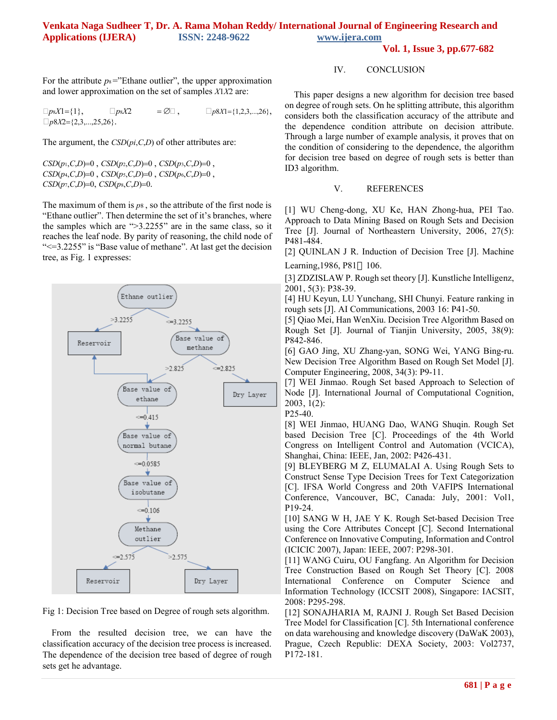# **Venkata Naga Sudheer T, Dr. A. Rama Mohan Reddy/ International Journal of Engineering Research and Applications (IJERA) ISSN: 2248-9622 www.ijera.com**

**Vol. 1, Issue 3, pp.677-682**

For the attribute  $p_8$ ="Ethane outlier", the upper approximation and lower approximation on the set of samples *X*1*X*2 are:

 $\Box p_8 X1 = \{1\}, \qquad \Box p_8 X2 = \emptyset \Box, \qquad \Box p_8 X1 = \{1, 2, 3, \ldots, 26\},$  $\Box p8X2 = \{2,3,\ldots,25,26\}.$ 

The argument, the *CSD*(*pi*,*C*,*D*) of other attributes are:

 $CSD(p_1, C, D)=0$ ,  $CSD(p_2, C, D)=0$ ,  $CSD(p_3, C, D)=0$ ,  $CSD(p_4, C, D)=0$ ,  $CSD(p_5, C, D)=0$ ,  $CSD(p_6, C, D)=0$ ,  $CSD(p_7, C, D)=0$ ,  $CSD(p_8, C, D)=0$ .

The maximum of them is *p*8 , so the attribute of the first node is "Ethane outlier". Then determine the set of it's branches, where the samples which are ">3.2255" are in the same class, so it reaches the leaf node. By parity of reasoning, the child node of "<=3.2255" is "Base value of methane". At last get the decision tree, as Fig. 1 expresses:



Fig 1: Decision Tree based on Degree of rough sets algorithm.

From the resulted decision tree, we can have the classification accuracy of the decision tree process is increased. The dependence of the decision tree based of degree of rough sets get he advantage.

# IV. CONCLUSION

This paper designs a new algorithm for decision tree based on degree of rough sets. On he splitting attribute, this algorithm considers both the classification accuracy of the attribute and the dependence condition attribute on decision attribute. Through a large number of example analysis, it proves that on the condition of considering to the dependence, the algorithm for decision tree based on degree of rough sets is better than ID3 algorithm.

#### V. REFERENCES

[1] WU Cheng-dong, XU Ke, HAN Zhong-hua, PEI Tao. Approach to Data Mining Based on Rough Sets and Decision Tree [J]. Journal of Northeastern University, 2006, 27(5): P481-484.

[2] QUINLAN J R. Induction of Decision Tree [J]. Machine Learning,1986, P81 106.

[3] ZDZISLAW P. Rough set theory [J]. Kunstliche Intelligenz, 2001, 5(3): P38-39.

[4] HU Keyun, LU Yunchang, SHI Chunyi. Feature ranking in rough sets [J]. AI Communications, 2003 16: P41-50.

[5] Qiao Mei, Han WenXiu. Decision Tree Algorithm Based on Rough Set [J]. Journal of Tianjin University, 2005, 38(9): P842-846.

[6] GAO Jing, XU Zhang-yan, SONG Wei, YANG Bing-ru. New Decision Tree Algorithm Based on Rough Set Model [J]. Computer Engineering, 2008, 34(3): P9-11.

[7] WEI Jinmao. Rough Set based Approach to Selection of Node [J]. International Journal of Computational Cognition, 2003, 1(2):

P25-40.

[8] WEI Jinmao, HUANG Dao, WANG Shuqin. Rough Set based Decision Tree [C]. Proceedings of the 4th World Congress on Intelligent Control and Automation (VCICA), Shanghai, China: IEEE, Jan, 2002: P426-431.

[9] BLEYBERG M Z, ELUMALAI A. Using Rough Sets to Construct Sense Type Decision Trees for Text Categorization [C]. IFSA World Congress and 20th VAFIPS International Conference, Vancouver, BC, Canada: July, 2001: Vol1, P19-24.

[10] SANG W H, JAE Y K. Rough Set-based Decision Tree using the Core Attributes Concept [C]. Second International Conference on Innovative Computing, Information and Control (ICICIC 2007), Japan: IEEE, 2007: P298-301.

[11] WANG Cuiru, OU Fangfang. An Algorithm for Decision Tree Construction Based on Rough Set Theory [C]. 2008 International Conference on Computer Science and Information Technology (ICCSIT 2008), Singapore: IACSIT, 2008: P295-298.

[12] SONAJHARIA M, RAJNI J. Rough Set Based Decision Tree Model for Classification [C]. 5th International conference on data warehousing and knowledge discovery (DaWaK 2003), Prague, Czech Republic: DEXA Society, 2003: Vol2737, P172-181.